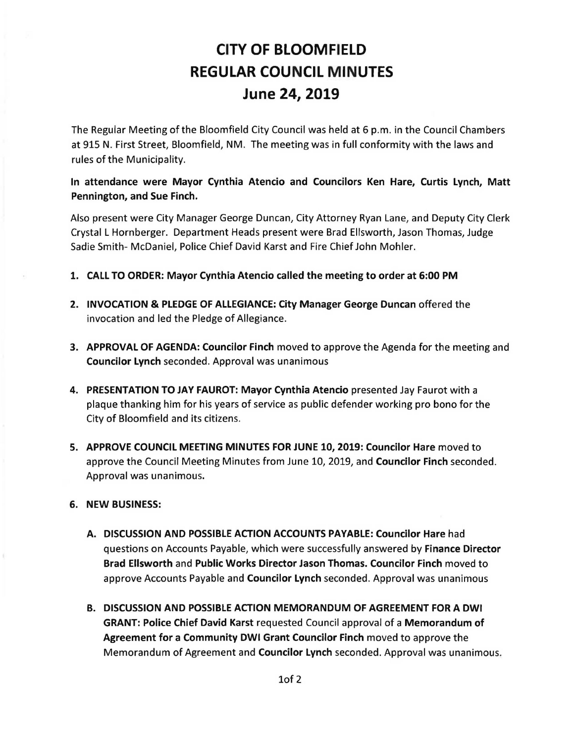# CITY OF BLOOMFIELD REGULAR COUNCIL MINUTES June 24, 2019

The Regular Meeting of the Bloomfield City Council was held at 6 p.m. in the Council Chambers at 915 N. First Street, Bloomfield, NM. The meeting was in full conformity with the laws and rules of the Municipality.

In attendance were Mayor Cynthia Atencio and Councilors Ken Hare, Curtis Lynch, Matt Pennington, and Sue Finch.

Also present were City Manager George Duncan, City Attorney Ryan Lane, and Deputy City Clerk Crystal L Hornberger. Department Heads present were Brad Ellsworth, Jason Thomas, Judge Sadie Smith- McDaniel, Police Chief David Karst and Fire Chief John Mohler.

- 1. CALL TO ORDER: Mayor Cynthia Atencio called the meeting to order at 6:00 PM
- 2. INVOCATION & PLEDGE OF ALLEGIANCE: City Manager George Duncan offered the invocation and led the Pledge of Allegiance.
- 3. APPROVAL OF AGENDA: Councilor Finch moved to approve the Agenda for the meeting and Councilor Lynch seconded. Approval was unanimous
- 4. PRESENTATION TO JAY FAUROT: Mayor Cynthia Atencio presented Jay Faurot with a plaque thanking him for his years of service as public defender working pro bona for the City of Bloomfield and its citizens.
- 5. APPROVE COUNCIL MEETING MINUTES FOR JUNE 10, 2019: Councilor Hare moved to approve the Council Meeting Minutes from June 10, 2019, and Councilor Finch seconded. Approval was unanimous.

### 6. NEW BUSINESS:

- A. DISCUSSION AND POSSIBLE ACTION ACCOUNTS PAYABLE: Councilor Hare had questions on Accounts Payable, which were successfully answered by Finance Director Brad Ellsworth and Public Works Director Jason Thomas. Councilor Finch moved to approve Accounts Payable and Councilor Lynch seconded. Approval was unanimous
- B. DISCUSSION AND POSSIBLE ACTION MEMORANDUM OF AGREEMENT FOR A DWI GRANT: Police Chief David Karst requested Council approval of a Memorandum of Agreement for a Community DWI Grant Councilor Finch moved to approve the Memorandum of Agreement and Councilor Lynch seconded. Approval was unanimous.